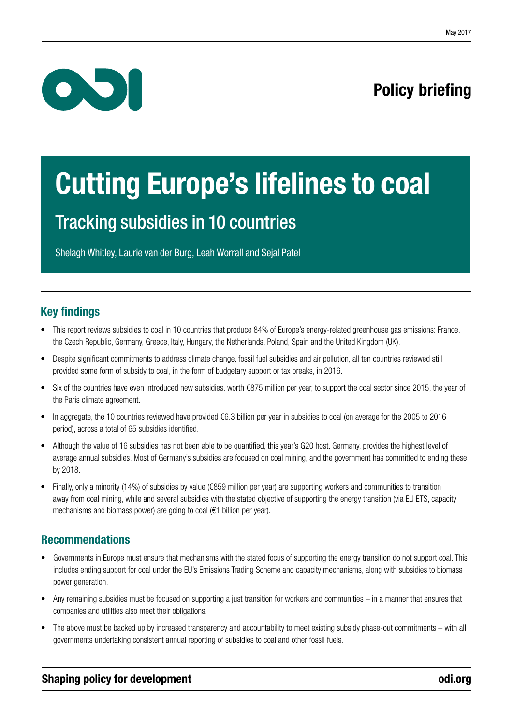

# Policy briefing

# Cutting Europe's lifelines to coal

## Tracking subsidies in 10 countries

Shelagh Whitley, Laurie van der Burg, Leah Worrall and Sejal Patel

### Key findings

- This report reviews subsidies to coal in 10 countries that produce 84% of Europe's energy-related greenhouse gas emissions: France, the Czech Republic, Germany, Greece, Italy, Hungary, the Netherlands, Poland, Spain and the United Kingdom (UK).
- Despite significant commitments to address climate change, fossil fuel subsidies and air pollution, all ten countries reviewed still provided some form of subsidy to coal, in the form of budgetary support or tax breaks, in 2016.
- Six of the countries have even introduced new subsidies, worth €875 million per year, to support the coal sector since 2015, the year of the Paris climate agreement.
- In aggregate, the 10 countries reviewed have provided €6.3 billion per year in subsidies to coal (on average for the 2005 to 2016 period), across a total of 65 subsidies identified.
- Although the value of 16 subsidies has not been able to be quantified, this year's G20 host, Germany, provides the highest level of average annual subsidies. Most of Germany's subsidies are focused on coal mining, and the government has committed to ending these by 2018.
- Finally, only a minority (14%) of subsidies by value (€859 million per year) are supporting workers and communities to transition away from coal mining, while and several subsidies with the stated objective of supporting the energy transition (via EU ETS, capacity mechanisms and biomass power) are going to coal (€1 billion per year).

### Recommendations

- Governments in Europe must ensure that mechanisms with the stated focus of supporting the energy transition do not support coal. This includes ending support for coal under the EU's Emissions Trading Scheme and capacity mechanisms, along with subsidies to biomass power generation.
- Any remaining subsidies must be focused on supporting a just transition for workers and communities in a manner that ensures that companies and utilities also meet their obligations.
- The above must be backed up by increased transparency and accountability to meet existing subsidy phase-out commitments with all governments undertaking consistent annual reporting of subsidies to coal and other fossil fuels.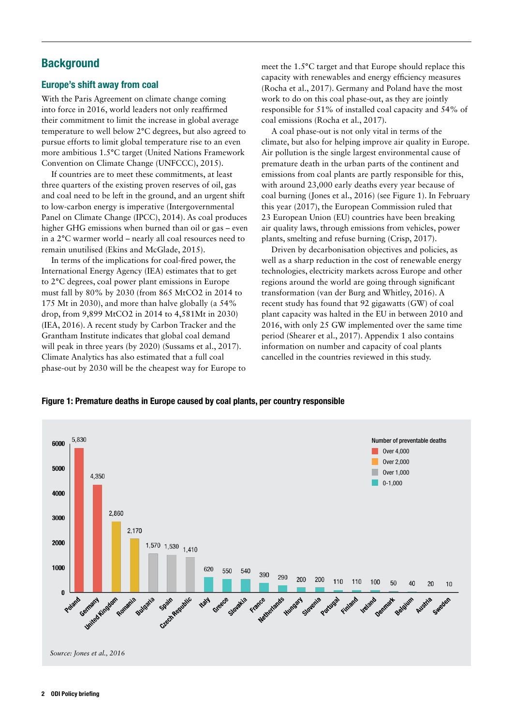### **Background**

#### Europe's shift away from coal

With the Paris Agreement on climate change coming into force in 2016, world leaders not only reaffirmed their commitment to limit the increase in global average temperature to well below 2°C degrees, but also agreed to pursue efforts to limit global temperature rise to an even more ambitious 1.5°C target (United Nations Framework Convention on Climate Change (UNFCCC), 2015).

If countries are to meet these commitments, at least three quarters of the existing proven reserves of oil, gas and coal need to be left in the ground, and an urgent shift to low-carbon energy is imperative (Intergovernmental Panel on Climate Change (IPCC), 2014). As coal produces higher GHG emissions when burned than oil or gas – even in a 2°C warmer world – nearly all coal resources need to remain unutilised (Ekins and McGlade, 2015).

In terms of the implications for coal-fired power, the International Energy Agency (IEA) estimates that to get to 2°C degrees, coal power plant emissions in Europe must fall by 80% by 2030 (from 865 MtCO2 in 2014 to 175 Mt in 2030), and more than halve globally (a 54% drop, from 9,899 MtCO2 in 2014 to 4,581Mt in 2030) (IEA, 2016). A recent study by Carbon Tracker and the Grantham Institute indicates that global coal demand will peak in three years (by 2020) (Sussams et al., 2017). Climate Analytics has also estimated that a full coal phase-out by 2030 will be the cheapest way for Europe to meet the 1.5°C target and that Europe should replace this capacity with renewables and energy efficiency measures (Rocha et al., 2017). Germany and Poland have the most work to do on this coal phase-out, as they are jointly responsible for 51% of installed coal capacity and 54% of coal emissions (Rocha et al., 2017).

A coal phase-out is not only vital in terms of the climate, but also for helping improve air quality in Europe. Air pollution is the single largest environmental cause of premature death in the urban parts of the continent and emissions from coal plants are partly responsible for this, with around 23,000 early deaths every year because of coal burning (Jones et al., 2016) (see Figure 1). In February this year (2017), the European Commission ruled that 23 European Union (EU) countries have been breaking air quality laws, through emissions from vehicles, power plants, smelting and refuse burning (Crisp, 2017).

Driven by decarbonisation objectives and policies, as well as a sharp reduction in the cost of renewable energy technologies, electricity markets across Europe and other regions around the world are going through significant transformation (van der Burg and Whitley, 2016). A recent study has found that 92 gigawatts (GW) of coal plant capacity was halted in the EU in between 2010 and 2016, with only 25 GW implemented over the same time period (Shearer et al., 2017). Appendix 1 also contains information on number and capacity of coal plants cancelled in the countries reviewed in this study.

#### Figure 1: Premature deaths in Europe caused by coal plants, per country responsible

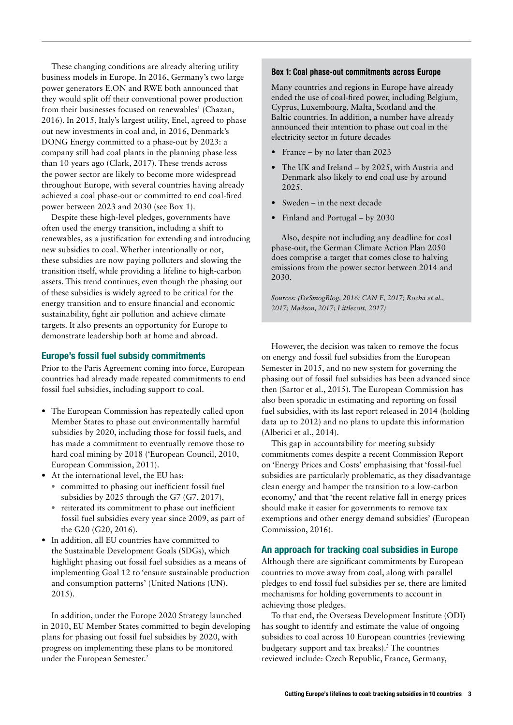These changing conditions are already altering utility business models in Europe. In 2016, Germany's two large power generators E.ON and RWE both announced that they would split off their conventional power production from their businesses focused on renewables<sup>1</sup> (Chazan, 2016). In 2015, Italy's largest utility, Enel, agreed to phase out new investments in coal and, in 2016, Denmark's DONG Energy committed to a phase-out by 2023: a company still had coal plants in the planning phase less than 10 years ago (Clark, 2017). These trends across the power sector are likely to become more widespread throughout Europe, with several countries having already achieved a coal phase-out or committed to end coal-fired power between 2023 and 2030 (see Box 1).

Despite these high-level pledges, governments have often used the energy transition, including a shift to renewables, as a justification for extending and introducing new subsidies to coal. Whether intentionally or not, these subsidies are now paying polluters and slowing the transition itself, while providing a lifeline to high-carbon assets. This trend continues, even though the phasing out of these subsidies is widely agreed to be critical for the energy transition and to ensure financial and economic sustainability, fight air pollution and achieve climate targets. It also presents an opportunity for Europe to demonstrate leadership both at home and abroad.

#### Europe's fossil fuel subsidy commitments

Prior to the Paris Agreement coming into force, European countries had already made repeated commitments to end fossil fuel subsidies, including support to coal.

- **•** The European Commission has repeatedly called upon Member States to phase out environmentally harmful subsidies by 2020, including those for fossil fuels, and has made a commitment to eventually remove those to hard coal mining by 2018 ('European Council, 2010, European Commission, 2011).
- **•** At the international level, the EU has:
	- **•** committed to phasing out inefficient fossil fuel subsidies by 2025 through the G7 (G7, 2017),
	- **•** reiterated its commitment to phase out inefficient fossil fuel subsidies every year since 2009, as part of the G20 (G20, 2016).
- **•** In addition, all EU countries have committed to the Sustainable Development Goals (SDGs), which highlight phasing out fossil fuel subsidies as a means of implementing Goal 12 to 'ensure sustainable production and consumption patterns' (United Nations (UN), 2015).

In addition, under the Europe 2020 Strategy launched in 2010, EU Member States committed to begin developing plans for phasing out fossil fuel subsidies by 2020, with progress on implementing these plans to be monitored under the European Semester.<sup>2</sup>

#### Box 1: Coal phase-out commitments across Europe

Many countries and regions in Europe have already ended the use of coal-fired power, including Belgium, Cyprus, Luxembourg, Malta, Scotland and the Baltic countries. In addition, a number have already announced their intention to phase out coal in the electricity sector in future decades

- France by no later than 2023
- The UK and Ireland by 2025, with Austria and Denmark also likely to end coal use by around 2025.
- Sweden in the next decade
- Finland and Portugal by 2030

Also, despite not including any deadline for coal phase-out, the German Climate Action Plan 2050 does comprise a target that comes close to halving emissions from the power sector between 2014 and 2030.

*Sources: (DeSmogBlog, 2016; CAN E, 2017; Rocha et al., 2017; Madson, 2017; Littlecott, 2017)*

However, the decision was taken to remove the focus on energy and fossil fuel subsidies from the European Semester in 2015, and no new system for governing the phasing out of fossil fuel subsidies has been advanced since then (Sartor et al., 2015). The European Commission has also been sporadic in estimating and reporting on fossil fuel subsidies, with its last report released in 2014 (holding data up to 2012) and no plans to update this information (Alberici et al., 2014).

This gap in accountability for meeting subsidy commitments comes despite a recent Commission Report on 'Energy Prices and Costs' emphasising that 'fossil-fuel subsidies are particularly problematic, as they disadvantage clean energy and hamper the transition to a low-carbon economy,' and that 'the recent relative fall in energy prices should make it easier for governments to remove tax exemptions and other energy demand subsidies' (European Commission, 2016).

#### An approach for tracking coal subsidies in Europe

Although there are significant commitments by European countries to move away from coal, along with parallel pledges to end fossil fuel subsidies per se, there are limited mechanisms for holding governments to account in achieving those pledges.

To that end, the Overseas Development Institute (ODI) has sought to identify and estimate the value of ongoing subsidies to coal across 10 European countries (reviewing budgetary support and tax breaks).<sup>3</sup> The countries reviewed include: Czech Republic, France, Germany,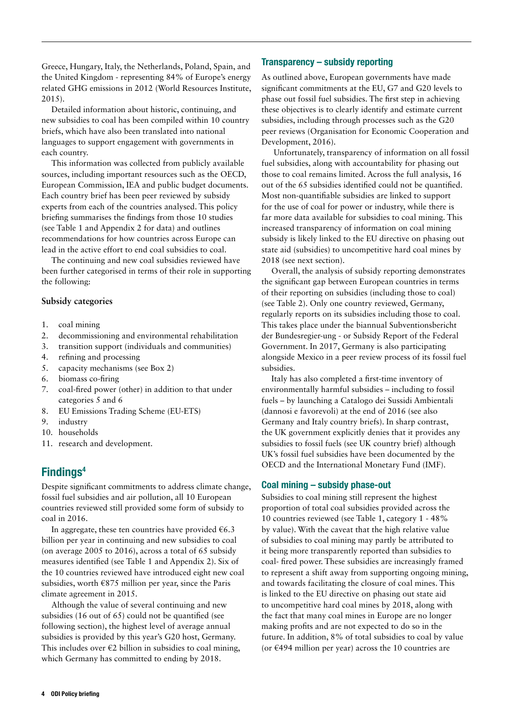Greece, Hungary, Italy, the Netherlands, Poland, Spain, and the United Kingdom - representing 84% of Europe's energy related GHG emissions in 2012 (World Resources Institute, 2015).

Detailed information about historic, continuing, and new subsidies to coal has been compiled within 10 country briefs, which have also been translated into national languages to support engagement with governments in each country.

This information was collected from publicly available sources, including important resources such as the OECD, European Commission, IEA and public budget documents. Each country brief has been peer reviewed by subsidy experts from each of the countries analysed. This policy briefing summarises the findings from those 10 studies (see Table 1 and Appendix 2 for data) and outlines recommendations for how countries across Europe can lead in the active effort to end coal subsidies to coal.

The continuing and new coal subsidies reviewed have been further categorised in terms of their role in supporting the following:

#### **Subsidy categories**

- 1. coal mining
- 2. decommissioning and environmental rehabilitation
- 3. transition support (individuals and communities)
- 4. refining and processing
- 5. capacity mechanisms (see Box 2)
- 6. biomass co-firing
- 7. coal-fired power (other) in addition to that under categories 5 and 6
- 8. EU Emissions Trading Scheme (EU-ETS)
- 9. industry
- 10. households
- 11. research and development.

### Findings4

Despite significant commitments to address climate change, fossil fuel subsidies and air pollution, all 10 European countries reviewed still provided some form of subsidy to coal in 2016.

In aggregate, these ten countries have provided  $€6.3$ billion per year in continuing and new subsidies to coal (on average 2005 to 2016), across a total of 65 subsidy measures identified (see Table 1 and Appendix 2). Six of the 10 countries reviewed have introduced eight new coal subsidies, worth €875 million per year, since the Paris climate agreement in 2015.

Although the value of several continuing and new subsidies (16 out of 65) could not be quantified (see following section), the highest level of average annual subsidies is provided by this year's G20 host, Germany. This includes over  $\epsilon$ 2 billion in subsidies to coal mining, which Germany has committed to ending by 2018.

#### Transparency – subsidy reporting

As outlined above, European governments have made significant commitments at the EU, G7 and G20 levels to phase out fossil fuel subsidies. The first step in achieving these objectives is to clearly identify and estimate current subsidies, including through processes such as the G20 peer reviews (Organisation for Economic Cooperation and Development, 2016).

 Unfortunately, transparency of information on all fossil fuel subsidies, along with accountability for phasing out those to coal remains limited. Across the full analysis, 16 out of the 65 subsidies identified could not be quantified. Most non-quantifiable subsidies are linked to support for the use of coal for power or industry, while there is far more data available for subsidies to coal mining. This increased transparency of information on coal mining subsidy is likely linked to the EU directive on phasing out state aid (subsidies) to uncompetitive hard coal mines by 2018 (see next section).

Overall, the analysis of subsidy reporting demonstrates the significant gap between European countries in terms of their reporting on subsidies (including those to coal) (see Table 2). Only one country reviewed, Germany, regularly reports on its subsidies including those to coal. This takes place under the biannual Subventionsbericht der Bundesregier-ung - or Subsidy Report of the Federal Government. In 2017, Germany is also participating alongside Mexico in a peer review process of its fossil fuel subsidies.

Italy has also completed a first-time inventory of environmentally harmful subsidies – including to fossil fuels – by launching a Catalogo dei Sussidi Ambientali (dannosi e favorevoli) at the end of 2016 (see also Germany and Italy country briefs). In sharp contrast, the UK government explicitly denies that it provides any subsidies to fossil fuels (see UK country brief) although UK's fossil fuel subsidies have been documented by the OECD and the International Monetary Fund (IMF).

#### Coal mining – subsidy phase-out

Subsidies to coal mining still represent the highest proportion of total coal subsidies provided across the 10 countries reviewed (see Table 1, category 1 - 48% by value). With the caveat that the high relative value of subsidies to coal mining may partly be attributed to it being more transparently reported than subsidies to coal- fired power. These subsidies are increasingly framed to represent a shift away from supporting ongoing mining, and towards facilitating the closure of coal mines. This is linked to the EU directive on phasing out state aid to uncompetitive hard coal mines by 2018, along with the fact that many coal mines in Europe are no longer making profits and are not expected to do so in the future. In addition, 8% of total subsidies to coal by value (or  $\epsilon$ 494 million per year) across the 10 countries are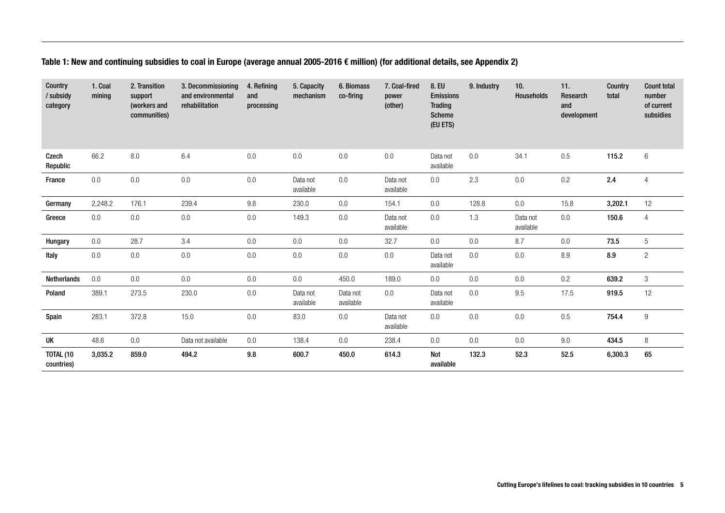#### Table 1: New and continuing subsidies to coal in Europe (average annual 2005-2016 € million) (for additional details, see Appendix 2)

| Country<br>/ subsidy<br>category | 1. Coal<br>mining | 2. Transition<br>support<br>(workers and<br>communities) | 3. Decommissioning<br>and environmental<br>rehabilitation | 4. Refining<br>and<br>processing | 5. Capacity<br>mechanism | 6. Biomass<br>co-firing | 7. Coal-fired<br>power<br>(other) | 8. EU<br><b>Emissions</b><br><b>Trading</b><br><b>Scheme</b><br>(EU ETS) | 9. Industry | 10.<br><b>Households</b> | 11.<br>Research<br>and<br>development | Country<br>total | <b>Count total</b><br>number<br>of current<br>subsidies |
|----------------------------------|-------------------|----------------------------------------------------------|-----------------------------------------------------------|----------------------------------|--------------------------|-------------------------|-----------------------------------|--------------------------------------------------------------------------|-------------|--------------------------|---------------------------------------|------------------|---------------------------------------------------------|
| Czech<br>Republic                | 66.2              | 8.0                                                      | 6.4                                                       | $0.0\,$                          | 0.0                      | 0.0                     | $0.0\,$                           | Data not<br>available                                                    | 0.0         | 34.1                     | 0.5                                   | 115.2            | $6\,$                                                   |
| France                           | 0.0               | 0.0                                                      | $0.0\,$                                                   | 0.0                              | Data not<br>available    | 0.0                     | Data not<br>available             | 0.0                                                                      | 2.3         | 0.0                      | 0.2                                   | 2.4              | $\overline{4}$                                          |
| Germany                          | 2,248.2           | 176.1                                                    | 239.4                                                     | 9.8                              | 230.0                    | 0.0                     | 154.1                             | 0.0                                                                      | 128.8       | 0.0                      | 15.8                                  | 3,202.1          | 12                                                      |
| Greece                           | 0.0               | 0.0                                                      | $0.0\,$                                                   | $0.0\,$                          | 149.3                    | 0.0                     | Data not<br>available             | 0.0                                                                      | 1.3         | Data not<br>available    | 0.0                                   | 150.6            | $\overline{4}$                                          |
| Hungary                          | 0.0               | 28.7                                                     | 3.4                                                       | 0.0                              | 0.0                      | 0.0                     | 32.7                              | 0.0                                                                      | 0.0         | 8.7                      | 0.0                                   | 73.5             | $\overline{5}$                                          |
| Italy                            | 0.0               | 0.0                                                      | $0.0\,$                                                   | $0.0\,$                          | $0.0\,$                  | 0.0                     | $0.0\,$                           | Data not<br>available                                                    | 0.0         | $0.0\,$                  | $\,8.9$                               | 8.9              | $\overline{c}$                                          |
| Netherlands                      | 0.0               | 0.0                                                      | 0.0                                                       | 0.0                              | 0.0                      | 450.0                   | 189.0                             | 0.0                                                                      | 0.0         | 0.0                      | 0.2                                   | 639.2            | $3\,$                                                   |
| Poland                           | 389.1             | 273.5                                                    | 230.0                                                     | 0.0                              | Data not<br>available    | Data not<br>available   | 0.0                               | Data not<br>available                                                    | $0.0\,$     | 9.5                      | 17.5                                  | 919.5            | 12                                                      |
| Spain                            | 283.1             | 372.8                                                    | 15.0                                                      | 0.0                              | 83.0                     | 0.0                     | Data not<br>available             | 0.0                                                                      | 0.0         | 0.0                      | 0.5                                   | 754.4            | $\boldsymbol{9}$                                        |
| UK                               | 48.6              | 0.0                                                      | Data not available                                        | 0.0                              | 138.4                    | 0.0                     | 238.4                             | 0.0                                                                      | 0.0         | 0.0                      | 9.0                                   | 434.5            | 8                                                       |
| TOTAL (10<br>countries)          | 3,035.2           | 859.0                                                    | 494.2                                                     | $9.8\,$                          | 600.7                    | 450.0                   | 614.3                             | Not<br>available                                                         | 132.3       | 52.3                     | 52.5                                  | 6,300.3          | 65                                                      |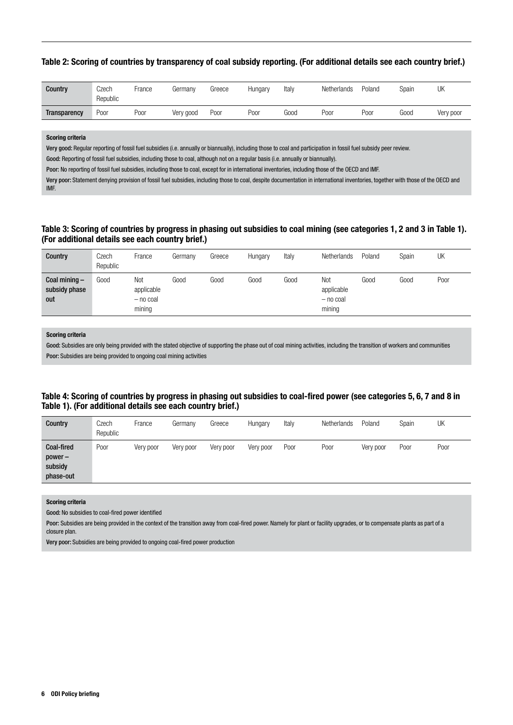Table 2: Scoring of countries by transparency of coal subsidy reporting. (For additional details see each country brief.)

| <b>Country</b> | Czech<br>Republic | -rance | Germanv   | Greece | Hungary | Italy | Netherlands | Poland | Spain | UK        |
|----------------|-------------------|--------|-----------|--------|---------|-------|-------------|--------|-------|-----------|
| Transparency   | Poor              | Poor   | Very good | Poor   | Poor    | Good  | Poor        | Poor   | Good  | Very poor |

#### Scoring criteria

Very good: Regular reporting of fossil fuel subsidies (i.e. annually or biannually), including those to coal and participation in fossil fuel subsidy peer review.

Good: Reporting of fossil fuel subsidies, including those to coal, although not on a regular basis (i.e. annually or biannually).

Poor: No reporting of fossil fuel subsidies, including those to coal, except for in international inventories, including those of the OECD and IMF.

Very poor: Statement denying provision of fossil fuel subsidies, including those to coal, despite documentation in international inventories, together with those of the OECD and IMF.

#### Table 3: Scoring of countries by progress in phasing out subsidies to coal mining (see categories 1, 2 and 3 in Table 1). (For additional details see each country brief.)

| Country                                 | Czech<br>Republic | France                                     | Germany | Greece | Hungary | Italy | Netherlands                                | Poland | Spain | UK   |
|-----------------------------------------|-------------------|--------------------------------------------|---------|--------|---------|-------|--------------------------------------------|--------|-------|------|
| Coal mining $-$<br>subsidy phase<br>out | Good              | Not<br>applicable<br>$-$ no coal<br>mining | Good    | Good   | Good    | Good  | Not<br>applicable<br>$-$ no coal<br>mining | Good   | Good  | Poor |

#### Scoring criteria

Good: Subsidies are only being provided with the stated objective of supporting the phase out of coal mining activities, including the transition of workers and communities Poor: Subsidies are being provided to ongoing coal mining activities

#### Table 4: Scoring of countries by progress in phasing out subsidies to coal-fired power (see categories 5, 6, 7 and 8 in Table 1). (For additional details see each country brief.)

| Country                                         | Czech<br>Republic | France    | Germany   | Greece    | Hungary   | Italy | <b>Netherlands</b> | Poland    | Spain | UK   |
|-------------------------------------------------|-------------------|-----------|-----------|-----------|-----------|-------|--------------------|-----------|-------|------|
| Coal-fired<br>$power -$<br>subsidy<br>phase-out | Poor              | Very poor | Very poor | Very poor | Very poor | Poor  | Poor               | Very poor | Poor  | Poor |

#### Scoring criteria

Good: No subsidies to coal-fired power identified

Poor: Subsidies are being provided in the context of the transition away from coal-fired power. Namely for plant or facility upgrades, or to compensate plants as part of a closure plan.

Very poor: Subsidies are being provided to ongoing coal-fired power production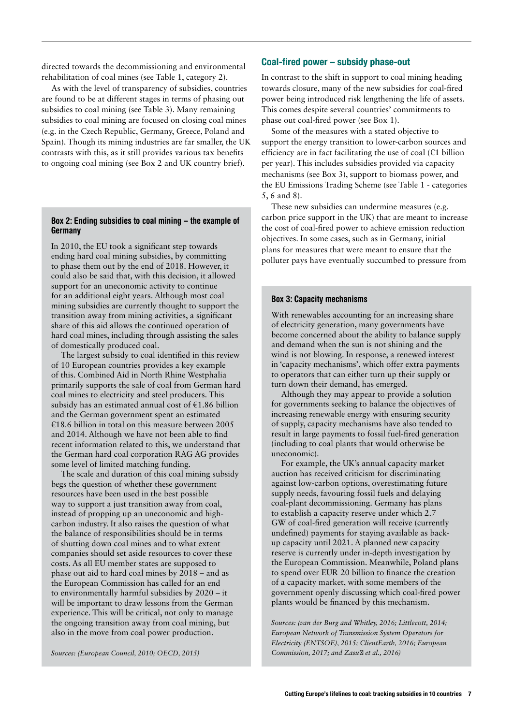directed towards the decommissioning and environmental rehabilitation of coal mines (see Table 1, category 2).

As with the level of transparency of subsidies, countries are found to be at different stages in terms of phasing out subsidies to coal mining (see Table 3). Many remaining subsidies to coal mining are focused on closing coal mines (e.g. in the Czech Republic, Germany, Greece, Poland and Spain). Though its mining industries are far smaller, the UK contrasts with this, as it still provides various tax benefits to ongoing coal mining (see Box 2 and UK country brief).

#### Box 2: Ending subsidies to coal mining – the example of **Germany**

In 2010, the EU took a significant step towards ending hard coal mining subsidies, by committing to phase them out by the end of 2018. However, it could also be said that, with this decision, it allowed support for an uneconomic activity to continue for an additional eight years. Although most coal mining subsidies are currently thought to support the transition away from mining activities, a significant share of this aid allows the continued operation of hard coal mines, including through assisting the sales of domestically produced coal.

The largest subsidy to coal identified in this review of 10 European countries provides a key example of this. Combined Aid in North Rhine Westphalia primarily supports the sale of coal from German hard coal mines to electricity and steel producers. This subsidy has an estimated annual cost of €1.86 billion and the German government spent an estimated €18.6 billion in total on this measure between 2005 and 2014. Although we have not been able to find recent information related to this, we understand that the German hard coal corporation RAG AG provides some level of limited matching funding.

The scale and duration of this coal mining subsidy begs the question of whether these government resources have been used in the best possible way to support a just transition away from coal, instead of propping up an uneconomic and highcarbon industry. It also raises the question of what the balance of responsibilities should be in terms of shutting down coal mines and to what extent companies should set aside resources to cover these costs. As all EU member states are supposed to phase out aid to hard coal mines by 2018 – and as the European Commission has called for an end to environmentally harmful subsidies by 2020 – it will be important to draw lessons from the German experience. This will be critical, not only to manage the ongoing transition away from coal mining, but also in the move from coal power production.

*Sources: (European Council, 2010; OECD, 2015)*

#### Coal-fired power – subsidy phase-out

In contrast to the shift in support to coal mining heading towards closure, many of the new subsidies for coal-fired power being introduced risk lengthening the life of assets. This comes despite several countries' commitments to phase out coal-fired power (see Box 1).

Some of the measures with a stated objective to support the energy transition to lower-carbon sources and efficiency are in fact facilitating the use of coal  $(€1$  billion per year). This includes subsidies provided via capacity mechanisms (see Box 3), support to biomass power, and the EU Emissions Trading Scheme (see Table 1 - categories 5, 6 and 8).

These new subsidies can undermine measures (e.g. carbon price support in the UK) that are meant to increase the cost of coal-fired power to achieve emission reduction objectives. In some cases, such as in Germany, initial plans for measures that were meant to ensure that the polluter pays have eventually succumbed to pressure from

#### Box 3: Capacity mechanisms

With renewables accounting for an increasing share of electricity generation, many governments have become concerned about the ability to balance supply and demand when the sun is not shining and the wind is not blowing. In response, a renewed interest in 'capacity mechanisms', which offer extra payments to operators that can either turn up their supply or turn down their demand, has emerged.

Although they may appear to provide a solution for governments seeking to balance the objectives of increasing renewable energy with ensuring security of supply, capacity mechanisms have also tended to result in large payments to fossil fuel-fired generation (including to coal plants that would otherwise be uneconomic).

For example, the UK's annual capacity market auction has received criticism for discriminating against low-carbon options, overestimating future supply needs, favouring fossil fuels and delaying coal-plant decommissioning. Germany has plans to establish a capacity reserve under which 2.7 GW of coal-fired generation will receive (currently undefined) payments for staying available as backup capacity until 2021. A planned new capacity reserve is currently under in-depth investigation by the European Commission. Meanwhile, Poland plans to spend over EUR 20 billion to finance the creation of a capacity market, with some members of the government openly discussing which coal-fired power plants would be financed by this mechanism.

*Sources: (van der Burg and Whitley, 2016; Littlecott, 2014; European Network of Transmission System Operators for Electricity (ENTSOE), 2015; ClientEarth, 2016; European Commission, 2017; and Zasu et al., 2016*)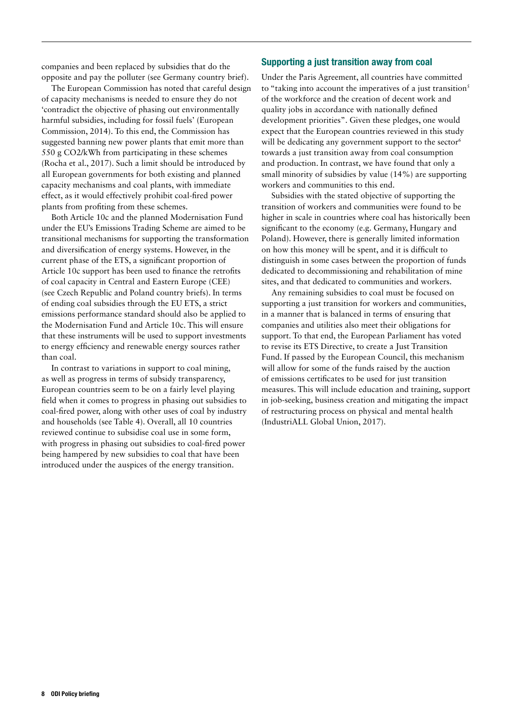companies and been replaced by subsidies that do the opposite and pay the polluter (see Germany country brief).

The European Commission has noted that careful design of capacity mechanisms is needed to ensure they do not 'contradict the objective of phasing out environmentally harmful subsidies, including for fossil fuels' (European Commission, 2014). To this end, the Commission has suggested banning new power plants that emit more than 550 g CO2/kWh from participating in these schemes (Rocha et al., 2017). Such a limit should be introduced by all European governments for both existing and planned capacity mechanisms and coal plants, with immediate effect, as it would effectively prohibit coal-fired power plants from profiting from these schemes.

Both Article 10c and the planned Modernisation Fund under the EU's Emissions Trading Scheme are aimed to be transitional mechanisms for supporting the transformation and diversification of energy systems. However, in the current phase of the ETS, a significant proportion of Article 10c support has been used to finance the retrofits of coal capacity in Central and Eastern Europe (CEE) (see Czech Republic and Poland country briefs). In terms of ending coal subsidies through the EU ETS, a strict emissions performance standard should also be applied to the Modernisation Fund and Article 10c. This will ensure that these instruments will be used to support investments to energy efficiency and renewable energy sources rather than coal.

In contrast to variations in support to coal mining, as well as progress in terms of subsidy transparency, European countries seem to be on a fairly level playing field when it comes to progress in phasing out subsidies to coal-fired power, along with other uses of coal by industry and households (see Table 4). Overall, all 10 countries reviewed continue to subsidise coal use in some form, with progress in phasing out subsidies to coal-fired power being hampered by new subsidies to coal that have been introduced under the auspices of the energy transition.

#### Supporting a just transition away from coal

Under the Paris Agreement, all countries have committed to "taking into account the imperatives of a just transition $5$ of the workforce and the creation of decent work and quality jobs in accordance with nationally defined development priorities". Given these pledges, one would expect that the European countries reviewed in this study will be dedicating any government support to the sector<sup>6</sup> towards a just transition away from coal consumption and production. In contrast, we have found that only a small minority of subsidies by value (14%) are supporting workers and communities to this end.

Subsidies with the stated objective of supporting the transition of workers and communities were found to be higher in scale in countries where coal has historically been significant to the economy (e.g. Germany, Hungary and Poland). However, there is generally limited information on how this money will be spent, and it is difficult to distinguish in some cases between the proportion of funds dedicated to decommissioning and rehabilitation of mine sites, and that dedicated to communities and workers.

Any remaining subsidies to coal must be focused on supporting a just transition for workers and communities, in a manner that is balanced in terms of ensuring that companies and utilities also meet their obligations for support. To that end, the European Parliament has voted to revise its ETS Directive, to create a Just Transition Fund. If passed by the European Council, this mechanism will allow for some of the funds raised by the auction of emissions certificates to be used for just transition measures. This will include education and training, support in job-seeking, business creation and mitigating the impact of restructuring process on physical and mental health (IndustriALL Global Union, 2017).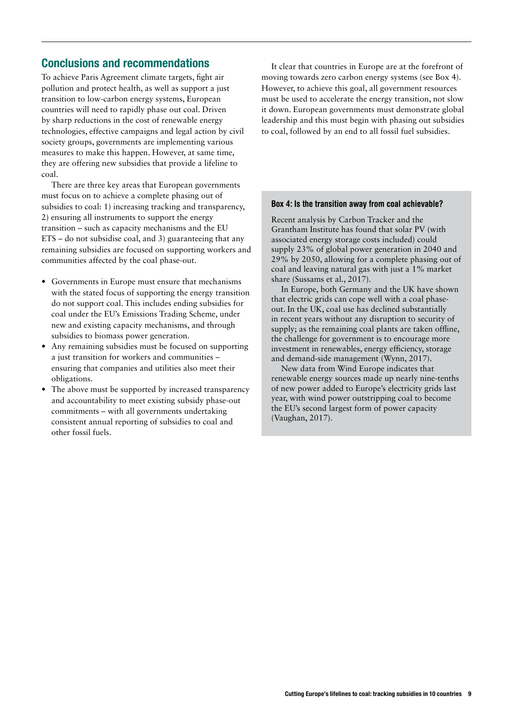### Conclusions and recommendations

To achieve Paris Agreement climate targets, fight air pollution and protect health, as well as support a just transition to low-carbon energy systems, European countries will need to rapidly phase out coal. Driven by sharp reductions in the cost of renewable energy technologies, effective campaigns and legal action by civil society groups, governments are implementing various measures to make this happen. However, at same time, they are offering new subsidies that provide a lifeline to coal.

There are three key areas that European governments must focus on to achieve a complete phasing out of subsidies to coal: 1) increasing tracking and transparency, 2) ensuring all instruments to support the energy transition – such as capacity mechanisms and the EU ETS – do not subsidise coal, and 3) guaranteeing that any remaining subsidies are focused on supporting workers and communities affected by the coal phase-out.

- **•** Governments in Europe must ensure that mechanisms with the stated focus of supporting the energy transition do not support coal. This includes ending subsidies for coal under the EU's Emissions Trading Scheme, under new and existing capacity mechanisms, and through subsidies to biomass power generation.
- **•** Any remaining subsidies must be focused on supporting a just transition for workers and communities – ensuring that companies and utilities also meet their obligations.
- **•** The above must be supported by increased transparency and accountability to meet existing subsidy phase-out commitments – with all governments undertaking consistent annual reporting of subsidies to coal and other fossil fuels.

It clear that countries in Europe are at the forefront of moving towards zero carbon energy systems (see Box 4). However, to achieve this goal, all government resources must be used to accelerate the energy transition, not slow it down. European governments must demonstrate global leadership and this must begin with phasing out subsidies to coal, followed by an end to all fossil fuel subsidies.

#### Box 4: Is the transition away from coal achievable?

Recent analysis by Carbon Tracker and the Grantham Institute has found that solar PV (with associated energy storage costs included) could supply 23% of global power generation in 2040 and 29% by 2050, allowing for a complete phasing out of coal and leaving natural gas with just a 1% market share (Sussams et al., 2017).

In Europe, both Germany and the UK have shown that electric grids can cope well with a coal phaseout. In the UK, coal use has declined substantially in recent years without any disruption to security of supply; as the remaining coal plants are taken offline, the challenge for government is to encourage more investment in renewables, energy efficiency, storage and demand-side management (Wynn, 2017).

New data from Wind Europe indicates that renewable energy sources made up nearly nine-tenths of new power added to Europe's electricity grids last year, with wind power outstripping coal to become the EU's second largest form of power capacity (Vaughan, 2017).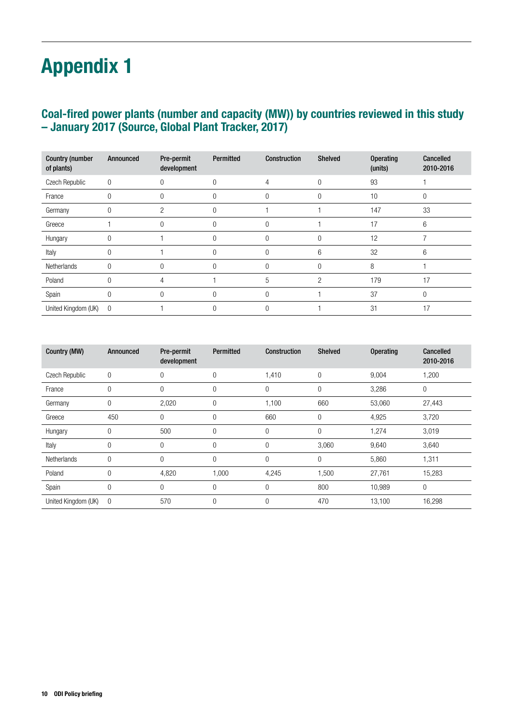# Appendix 1

### Coal-fired power plants (number and capacity (MW)) by countries reviewed in this study – January 2017 (Source, Global Plant Tracker, 2017)

| <b>Country (number</b><br>of plants) | Announced   | Pre-permit<br>development | Permitted | Construction | <b>Shelved</b> | <b>Operating</b><br>(units) | Cancelled<br>2010-2016 |
|--------------------------------------|-------------|---------------------------|-----------|--------------|----------------|-----------------------------|------------------------|
| Czech Republic                       | $\mathbf 0$ | 0                         | 0         | 4            | 0              | 93                          |                        |
| France                               |             | 0                         | 0         | $\Omega$     |                | 10                          | 0                      |
| Germany                              |             | 2                         | 0         |              |                | 147                         | 33                     |
| Greece                               |             | 0                         | 0         |              |                | 17                          | 6                      |
| Hungary                              |             |                           |           |              | 0              | 12                          |                        |
| Italy                                | 0           |                           | 0         | 0            | 6              | 32                          | 6                      |
| Netherlands                          |             | $\Omega$                  | 0         | $\Omega$     | $\Omega$       | 8                           |                        |
| Poland                               |             | 4                         |           | 5            | $\overline{2}$ | 179                         | 17                     |
| Spain                                |             | $\Omega$                  |           |              |                | 37                          | $\Omega$               |
| United Kingdom (UK) 0                |             |                           |           |              |                | 31                          | 17                     |

| Country (MW)        | Announced      | Pre-permit<br>development | <b>Permitted</b> | <b>Construction</b> | <b>Shelved</b> | <b>Operating</b> | <b>Cancelled</b><br>2010-2016 |
|---------------------|----------------|---------------------------|------------------|---------------------|----------------|------------------|-------------------------------|
| Czech Republic      | 0              | 0                         | 0                | 1,410               | 0              | 9,004            | 1,200                         |
| France              |                | 0                         | 0                | $\mathbf 0$         | 0              | 3,286            | 0                             |
| Germany             | 0              | 2,020                     | 0                | 1,100               | 660            | 53,060           | 27,443                        |
| Greece              | 450            | 0                         | 0                | 660                 | 0              | 4,925            | 3,720                         |
| Hungary             | 0              | 500                       | 0                | $\mathbf 0$         | 0              | 1,274            | 3,019                         |
| Italy               | 0              | 0                         | 0                | 0                   | 3,060          | 9,640            | 3,640                         |
| Netherlands         | 0              | $\Omega$                  | 0                | $\mathbf{0}$        | 0              | 5,860            | 1,311                         |
| Poland              | 0              | 4,820                     | 1,000            | 4,245               | 1,500          | 27,761           | 15,283                        |
| Spain               | 0              | $\mathbf{0}$              | 0                | $\overline{0}$      | 800            | 10,989           | 0                             |
| United Kingdom (UK) | $\overline{0}$ | 570                       | 0                | $\mathbf{0}$        | 470            | 13,100           | 16,298                        |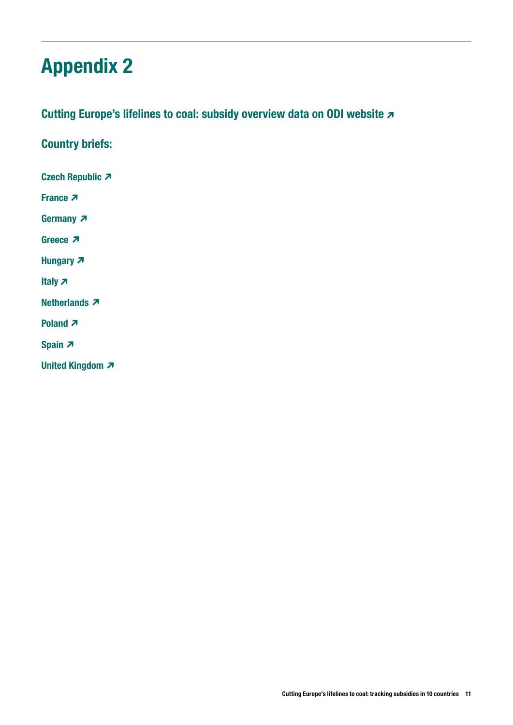# Appendix 2

### [Cutting Europe's lifelines to coal: subsidy overview data on ODI website](http://www.odi.org/coal-subsidies-europe)  $\sigma$

Country briefs:

[Czech Republic](https://www.odi.org/publications/10794-cutting-europe-s-lifelines-coal-czech-republic)

**[France](https://www.odi.org/publications/10790-cutting-europe-s-lifelines-coal-france) 7** 

[Germany](https://www.odi.org/publications/10791-cutting-europe-s-lifelines-coal-germany) **2** 

[Greece](https://www.odi.org/publications/10795-cutting-europe-s-lifelines-coal-greece)<sub>7</sub>

[Hungary](https://www.odi.org/publications/10796-cutting-europe-s-lifelines-coal-hungary) 7

[Italy](https://www.odi.org/publications/10797-cutting-europe-s-lifelines-coal-italy) **z** 

**[Netherlands](https://www.odi.org/publications/10793-cutting-europe-s-lifelines-coal-netherlands) 7** 

**[Poland](https://www.odi.org/publications/10792-cutting-europe-s-lifelines-coal-poland) 7** 

[Spain](https://www.odi.org/publications/10798-cutting-europe-s-lifelines-coal-spain) <sub>7</sub>

[United Kingdom](https://www.odi.org/publications/10789-cutting-europe-s-lifelines-coal-united-kingdom)  $\lambda$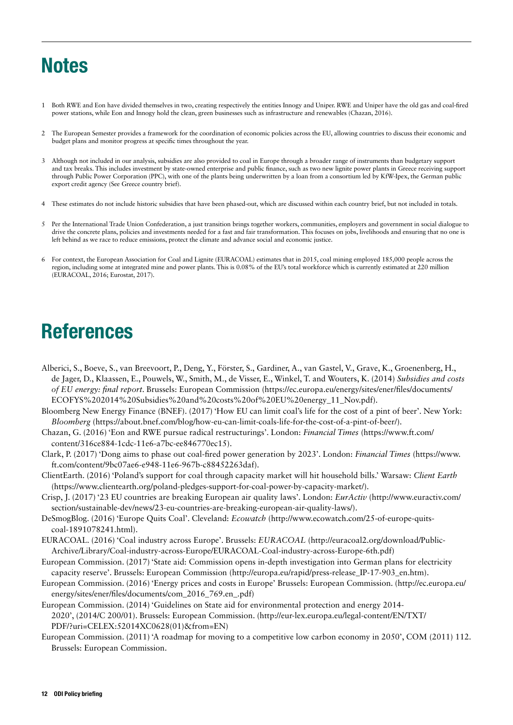# **Notes**

- 1 Both RWE and Eon have divided themselves in two, creating respectively the entities Innogy and Uniper. RWE and Uniper have the old gas and coal-fired power stations, while Eon and Innogy hold the clean, green businesses such as infrastructure and renewables (Chazan, 2016).
- 2 The European Semester provides a framework for the coordination of economic policies across the EU, allowing countries to discuss their economic and budget plans and monitor progress at specific times throughout the year.
- 3 Although not included in our analysis, subsidies are also provided to coal in Europe through a broader range of instruments than budgetary support and tax breaks. This includes investment by state-owned enterprise and public finance, such as two new lignite power plants in Greece receiving support through Public Power Corporation (PPC), with one of the plants being underwritten by a loan from a consortium led by KfW-Ipex, the German public export credit agency (See Greece country brief).
- 4 These estimates do not include historic subsidies that have been phased-out, which are discussed within each country brief, but not included in totals.
- 5 Per the International Trade Union Confederation, a just transition brings together workers, communities, employers and government in social dialogue to drive the concrete plans, policies and investments needed for a fast and fair transformation. This focuses on jobs, livelihoods and ensuring that no one is left behind as we race to reduce emissions, protect the climate and advance social and economic justice.
- 6 For context, the European Association for Coal and Lignite (EURACOAL) estimates that in 2015, coal mining employed 185,000 people across the region, including some at integrated mine and power plants. This is 0.08% of the EU's total workforce which is currently estimated at 220 million (EURACOAL, 2016; Eurostat, 2017).

# References

- Alberici, S., Boeve, S., van Breevoort, P., Deng, Y., Förster, S., Gardiner, A., van Gastel, V., Grave, K., Groenenberg, H., de Jager, D., Klaassen, E., Pouwels, W., Smith, M., de Visser, E., Winkel, T. and Wouters, K. (2014) *Subsidies and costs of EU energy: final report*. Brussels: European Commission (https://ec.europa.eu/energy/sites/ener/files/documents/ ECOFYS%202014%20Subsidies%20and%20costs%20of%20EU%20energy\_11\_Nov.pdf).
- Bloomberg New Energy Finance (BNEF). (2017) 'How EU can limit coal's life for the cost of a pint of beer'. New York: *Bloomberg* (https://about.bnef.com/blog/how-eu-can-limit-coals-life-for-the-cost-of-a-pint-of-beer/).
- Chazan, G. (2016) 'Eon and RWE pursue radical restructurings'. London: *Financial Times* (https://www.ft.com/ content/316ce884-1cdc-11e6-a7bc-ee846770ec15).
- Clark, P. (2017) 'Dong aims to phase out coal-fired power generation by 2023'. London: *Financial Times* (https://www. ft.com/content/9bc07ae6-e948-11e6-967b-c88452263daf).
- ClientEarth. (2016) 'Poland's support for coal through capacity market will hit household bills.' Warsaw: *Client Earth* (https://www.clientearth.org/poland-pledges-support-for-coal-power-by-capacity-market/).
- Crisp, J. (2017) '23 EU countries are breaking European air quality laws'. London: *EurActiv* (http://www.euractiv.com/ section/sustainable-dev/news/23-eu-countries-are-breaking-european-air-quality-laws/).
- DeSmogBlog. (2016) 'Europe Quits Coal'. Cleveland: *Ecowatch* (http://www.ecowatch.com/25-of-europe-quitscoal-1891078241.html).
- EURACOAL. (2016) 'Coal industry across Europe'. Brussels: *EURACOAL* (http://euracoal2.org/download/Public-Archive/Library/Coal-industry-across-Europe/EURACOAL-Coal-industry-across-Europe-6th.pdf)
- European Commission. (2017) 'State aid: Commission opens in-depth investigation into German plans for electricity capacity reserve'. Brussels: European Commission (http://europa.eu/rapid/press-release\_IP-17-903\_en.htm).
- European Commission. (2016) 'Energy prices and costs in Europe' Brussels: European Commission. (http://ec.europa.eu/ energy/sites/ener/files/documents/com\_2016\_769.en\_.pdf)
- European Commission. (2014) 'Guidelines on State aid for environmental protection and energy 2014- 2020', (2014/C 200/01). Brussels: European Commission. (http://eur-lex.europa.eu/legal-content/EN/TXT/ PDF/?uri=CELEX:52014XC0628(01)&from=EN)
- European Commission. (2011) 'A roadmap for moving to a competitive low carbon economy in 2050', COM (2011) 112. Brussels: European Commission.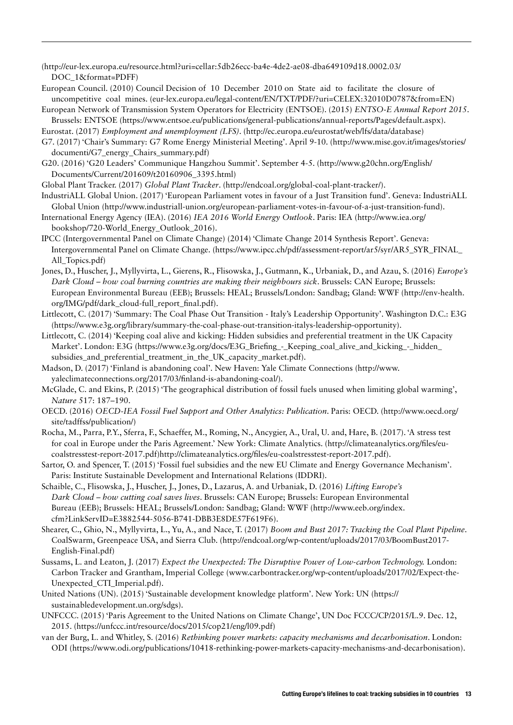(http://eur-lex.europa.eu/resource.html?uri=cellar:5db26ecc-ba4e-4de2-ae08-dba649109d18.0002.03/ DOC\_1&format=PDFF)

- European Council. (2010) Council Decision of 10 December 2010 on State aid to facilitate the closure of uncompetitive coal mines. (eur-lex.europa.eu/legal-content/EN/TXT/PDF/?uri=CELEX:32010D0787&from=EN)
- European Network of Transmission System Operators for Electricity (ENTSOE). (2015) *ENTSO-E Annual Report 2015*. Brussels: ENTSOE (https://www.entsoe.eu/publications/general-publications/annual-reports/Pages/default.aspx).

Eurostat. (2017) *Employment and unemployment (LFS)*. (http://ec.europa.eu/eurostat/web/lfs/data/database)

- G7. (2017) 'Chair's Summary: G7 Rome Energy Ministerial Meeting'. April 9-10. (http://www.mise.gov.it/images/stories/ documenti/G7\_energy\_Chairs\_summary.pdf)
- G20. (2016) 'G20 Leaders' Communique Hangzhou Summit'. September 4-5. (http://www.g20chn.org/English/ Documents/Current/201609/t20160906\_3395.html)
- Global Plant Tracker. (2017) *Global Plant Tracker*. (http://endcoal.org/global-coal-plant-tracker/).
- IndustriALL Global Union. (2017) 'European Parliament votes in favour of a Just Transition fund'. Geneva: IndustriALL Global Union (http://www.industriall-union.org/european-parliament-votes-in-favour-of-a-just-transition-fund).
- International Energy Agency (IEA). (2016) *IEA 2016 World Energy Outlook*. Paris: IEA (http://www.iea.org/ bookshop/720-World\_Energy\_Outlook\_2016).
- IPCC (Intergovernmental Panel on Climate Change) (2014) 'Climate Change 2014 Synthesis Report'. Geneva: Intergovernmental Panel on Climate Change. (https://www.ipcc.ch/pdf/assessment-report/ar5/syr/AR5\_SYR\_FINAL\_ All\_Topics.pdf)
- Jones, D., Huscher, J., Myllyvirta, L., Gierens, R., Flisowska, J., Gutmann, K., Urbaniak, D., and Azau, S. (2016) *Europe's Dark Cloud – how coal burning countries are making their neighbours sick*. Brussels: CAN Europe; Brussels: European Environmental Bureau (EEB); Brussels: HEAL; Brussels/London: Sandbag; Gland: WWF (http://env-health. org/IMG/pdf/dark\_cloud-full\_report\_final.pdf).
- Littlecott, C. (2017) 'Summary: The Coal Phase Out Transition Italy's Leadership Opportunity'. Washington D.C.: E3G (https://www.e3g.org/library/summary-the-coal-phase-out-transition-italys-leadership-opportunity).
- Littlecott, C. (2014) 'Keeping coal alive and kicking: Hidden subsidies and preferential treatment in the UK Capacity Market'. London: E3G (https://www.e3g.org/docs/E3G\_Briefing\_-\_Keeping\_coal\_alive\_and\_kicking\_-\_hidden\_ subsidies and preferential treatment in the UK capacity market.pdf).
- Madson, D. (2017) 'Finland is abandoning coal'. New Haven: Yale Climate Connections (http://www. yaleclimateconnections.org/2017/03/finland-is-abandoning-coal/).
- McGlade, C. and Ekins, P. (2015) 'The geographical distribution of fossil fuels unused when limiting global warming', *Nature* 517: 187–190.
- OECD. (2016) *OECD-IEA Fossil Fuel Support and Other Analytics: Publication*. Paris: OECD. (http://www.oecd.org/ site/tadffss/publication/)
- Rocha, M., Parra, P.Y., Sferra, F., Schaeffer, M., Roming, N., Ancygier, A., Ural, U. and, Hare, B. (2017). 'A stress test for coal in Europe under the Paris Agreement.' New York: Climate Analytics. (http://climateanalytics.org/files/eucoalstresstest-report-2017.pdf)http://climateanalytics.org/files/eu-coalstresstest-report-2017.pdf).
- Sartor, O. and Spencer, T. (2015) 'Fossil fuel subsidies and the new EU Climate and Energy Governance Mechanism'. Paris: Institute Sustainable Development and International Relations (IDDRI).
- Schaible, C., Flisowska, J., Huscher, J., Jones, D., Lazarus, A. and Urbaniak, D. (2016) *Lifting Europe's Dark Cloud – how cutting coal saves lives*. Brussels: CAN Europe; Brussels: European Environmental Bureau (EEB); Brussels: HEAL; Brussels/London: Sandbag; Gland: WWF (http://www.eeb.org/index. cfm?LinkServID=E3882544-5056-B741-DBB3E8DE57F619F6).
- Shearer, C., Ghio, N., Myllyvirta, L., Yu, A., and Nace, T. (2017) *Boom and Bust 2017: Tracking the Coal Plant Pipeline*. CoalSwarm, Greenpeace USA, and Sierra Club. (http://endcoal.org/wp-content/uploads/2017/03/BoomBust2017- English-Final.pdf)
- Sussams, L. and Leaton, J. (2017) *Expect the Unexpected: The Disruptive Power of Low-carbon Technology.* London: Carbon Tracker and Grantham, Imperial College (www.carbontracker.org/wp-content/uploads/2017/02/Expect-the-Unexpected\_CTI\_Imperial.pdf).
- United Nations (UN). (2015) 'Sustainable development knowledge platform'. New York: UN (https:// sustainabledevelopment.un.org/sdgs).
- UNFCCC. (2015) 'Paris Agreement to the United Nations on Climate Change', UN Doc FCCC/CP/2015/L.9. Dec. 12, 2015. (https://unfccc.int/resource/docs/2015/cop21/eng/l09.pdf)
- van der Burg, L. and Whitley, S. (2016) *Rethinking power markets: capacity mechanisms and decarbonisation*. London: ODI (https://www.odi.org/publications/10418-rethinking-power-markets-capacity-mechanisms-and-decarbonisation).